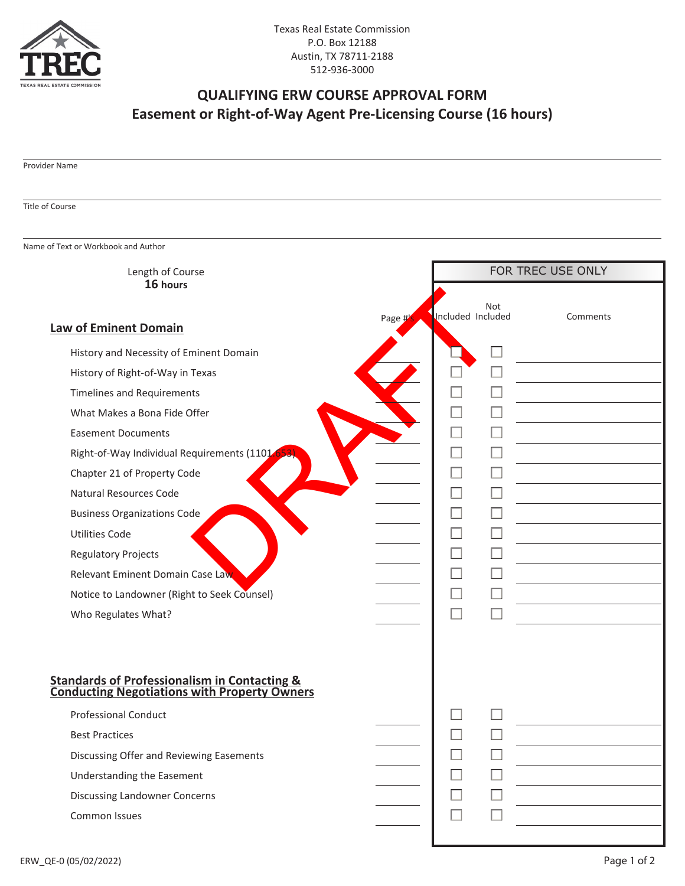

## **QUALIFYING ERW COURSE APPROVAL FORM Easement or Right-of-Way Agent Pre-Licensing Course (16 hours)**

## Provider Name

## Title of Course

Name of Text or Workbook and Author

| Length of Course                                                                                     |        |                   |                             | FOR TREC USE ONLY |
|------------------------------------------------------------------------------------------------------|--------|-------------------|-----------------------------|-------------------|
| 16 hours                                                                                             |        |                   | Not                         |                   |
| <b>Law of Eminent Domain</b>                                                                         | Page # | Included Included |                             | Comments          |
| History and Necessity of Eminent Domain                                                              |        |                   |                             |                   |
| History of Right-of-Way in Texas                                                                     |        |                   | П                           |                   |
| <b>Timelines and Requirements</b>                                                                    |        |                   | $\mathcal{L}_{\mathcal{A}}$ |                   |
| What Makes a Bona Fide Offer                                                                         |        |                   |                             |                   |
| <b>Easement Documents</b>                                                                            |        |                   | $\mathcal{L}$               |                   |
| Right-of-Way Individual Requirements (1101                                                           |        | n.                | $\Box$                      |                   |
| Chapter 21 of Property Code                                                                          |        |                   | $\Box$                      |                   |
| Natural Resources Code                                                                               |        |                   | $\Box$                      |                   |
| <b>Business Organizations Code</b>                                                                   |        |                   | $\Box$                      |                   |
| <b>Utilities Code</b>                                                                                |        |                   | $\Box$                      |                   |
| <b>Regulatory Projects</b>                                                                           |        |                   | $\Box$                      |                   |
| Relevant Eminent Domain Case Law                                                                     |        |                   |                             |                   |
| Notice to Landowner (Right to Seek Counsel)                                                          |        | П                 |                             |                   |
| Who Regulates What?                                                                                  |        | П                 |                             |                   |
|                                                                                                      |        |                   |                             |                   |
|                                                                                                      |        |                   |                             |                   |
|                                                                                                      |        |                   |                             |                   |
| <b>Standards of Professionalism in Contacting &amp; Conducting Negotiations with Property Owners</b> |        |                   |                             |                   |
| <b>Professional Conduct</b>                                                                          |        |                   |                             |                   |
| <b>Best Practices</b>                                                                                |        |                   |                             |                   |
| Discussing Offer and Reviewing Easements                                                             |        |                   |                             |                   |
| Understanding the Easement                                                                           |        |                   | $\Box$                      |                   |
| <b>Discussing Landowner Concerns</b>                                                                 |        | П                 | $\Box$                      |                   |
| Common Issues                                                                                        |        | П                 |                             |                   |
|                                                                                                      |        |                   |                             |                   |